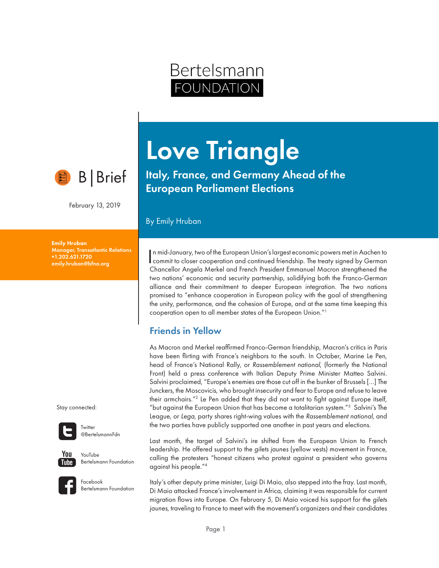# B|Brief

February 13, 2019

Emily Hruban Manager, Transatlantic Relations +1.202.621.1720 emily.hruban@bfna.org

Stay connected:



**Twitter** @BertelsmannFdn



YouTube Bertelsmann Foundation

Facebook Bertelsmann Foundation

# Love Triangle

Bertelsmann

OUNDATION

Italy, France, and Germany Ahead of the European Parliament Elections

#### By Emily Hruban

In mid-January, two of the European Union's largest economic powers met in Aachen to commit to closer cooperation and continued friendship. The treaty signed by German n mid-January, two of the European Union's largest economic powers met in Aachen to Chancellor Angela Merkel and French President Emmanuel Macron strengthened the two nations' economic and security partnership, solidifying both the Franco-German alliance and their commitment to deeper European integration. The two nations promised to "enhance cooperation in European policy with the goal of strengthening the unity, performance, and the cohesion of Europe, and at the same time keeping this cooperation open to all member states of the European Union."1

## Friends in Yellow

As Macron and Merkel reaffirmed Franco-German friendship, Macron's critics in Paris have been flirting with France's neighbors to the south. In October, Marine Le Pen, head of France's National Rally, or *Rassemblement national*, (formerly the National Front) held a press conference with Italian Deputy Prime Minister Matteo Salvini. Salvini proclaimed, "Europe's enemies are those cut off in the bunker of Brussels […] The Junckers, the Moscovicis, who brought insecurity and fear to Europe and refuse to leave their armchairs."2 Le Pen added that they did not want to fight against Europe itself, "but against the European Union that has become a totalitarian system."3 Salvini's The League, or *Lega*, party shares right-wing values with the *Rassemblement national*, and the two parties have publicly supported one another in past years and elections.

Last month, the target of Salvini's ire shifted from the European Union to French leadership. He offered support to the *gilets jaunes* (yellow vests) movement in France, calling the protesters "honest citizens who protest against a president who governs against his people."4

Italy's other deputy prime minister, Luigi Di Maio, also stepped into the fray. Last month, Di Maio attacked France's involvement in Africa, claiming it was responsible for current migration flows into Europe. On February 5, Di Maio voiced his support for the *gilets jaunes*, traveling to France to meet with the movement's organizers and their candidates